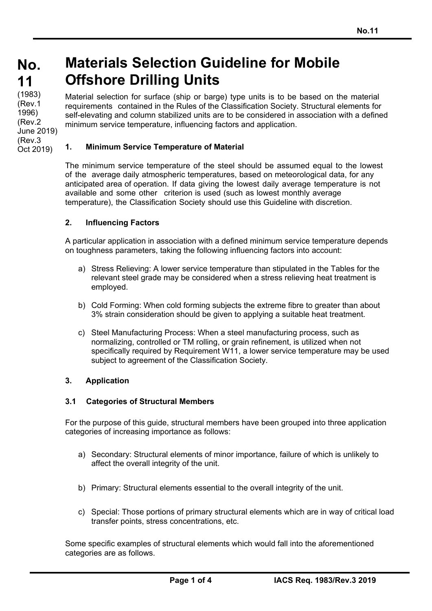# **No. No. 11 11**  (1983) (Rev.1 1996)

(Rev.2

(Rev.3 Oct 2019)

# **Materials Selection Guideline for Mobile Offshore Drilling Units**

Material selection for surface (ship or barge) type units is to be based on the material requirements contained in the Rules of the Classification Society. Structural elements for self-elevating and column stabilized units are to be considered in association with a defined minimum service temperature, influencing factors and application. June 2019)

## **1. Minimum Service Temperature of Material**

The minimum service temperature of the steel should be assumed equal to the lowest of the average daily atmospheric temperatures, based on meteorological data, for any anticipated area of operation. If data giving the lowest daily average temperature is not available and some other criterion is used (such as lowest monthly average temperature), the Classification Society should use this Guideline with discretion.

#### **2. Influencing Factors**

A particular application in association with a defined minimum service temperature depends on toughness parameters, taking the following influencing factors into account:

- a) Stress Relieving: A lower service temperature than stipulated in the Tables for the relevant steel grade may be considered when a stress relieving heat treatment is employed.
- b) Cold Forming: When cold forming subjects the extreme fibre to greater than about 3% strain consideration should be given to applying a suitable heat treatment.
- c) Steel Manufacturing Process: When a steel manufacturing process, such as normalizing, controlled or TM rolling, or grain refinement, is utilized when not specifically required by Requirement W11, a lower service temperature may be used subject to agreement of the Classification Society.

#### **3. Application**

#### **3.1 Categories of Structural Members**

For the purpose of this guide, structural members have been grouped into three application categories of increasing importance as follows:

- a) Secondary: Structural elements of minor importance, failure of which is unlikely to affect the overall integrity of the unit.
- b) Primary: Structural elements essential to the overall integrity of the unit.
- c) Special: Those portions of primary structural elements which are in way of critical load transfer points, stress concentrations, etc.

Some specific examples of structural elements which would fall into the aforementioned categories are as follows.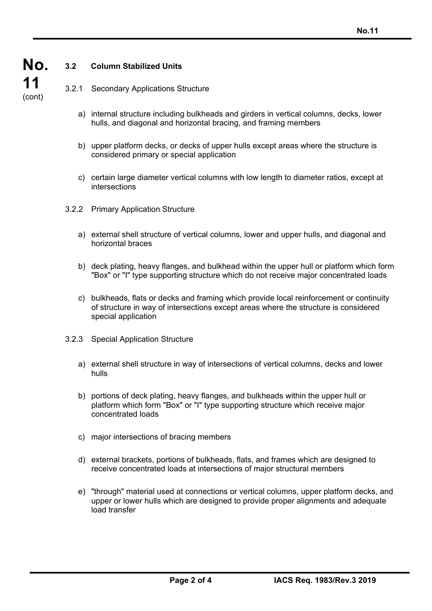

## **3.2 Column Stabilized Units**

3.2.1 Secondary Applications Structure

- a) internal structure including bulkheads and girders in vertical columns, decks, lower hulls, and diagonal and horizontal bracing, and framing members
- b) upper platform decks, or decks of upper hulls except areas where the structure is considered primary or special application
- c) certain large diameter vertical columns with low length to diameter ratios, except at intersections
- 3.2.2 Primary Application Structure
	- a) external shell structure of vertical columns, lower and upper hulls, and diagonal and horizontal braces
	- b) deck plating, heavy flanges, and bulkhead within the upper hull or platform which form "Box" or "I" type supporting structure which do not receive major concentrated loads
	- c) bulkheads, flats or decks and framing which provide local reinforcement or continuity of structure in way of intersections except areas where the structure is considered special application
- 3.2.3 Special Application Structure
	- a) external shell structure in way of intersections of vertical columns, decks and lower hulls
	- b) portions of deck plating, heavy flanges, and bulkheads within the upper hull or platform which form "Box" or "I" type supporting structure which receive major concentrated loads
	- c) major intersections of bracing members
	- d) external brackets, portions of bulkheads, flats, and frames which are designed to receive concentrated loads at intersections of major structural members
	- e) "through" material used at connections or vertical columns, upper platform decks, and upper or lower hulls which are designed to provide proper alignments and adequate load transfer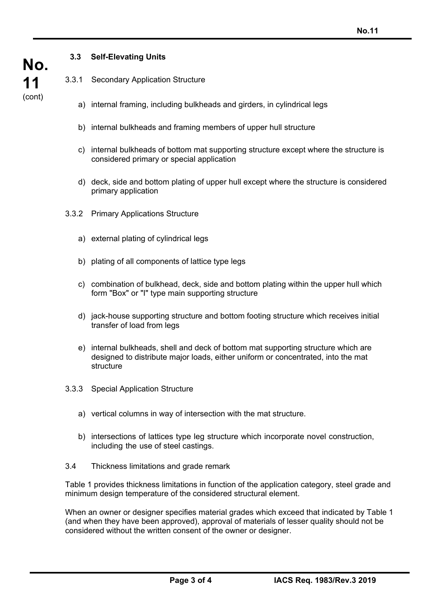## **3.3 Self-Elevating Units**

- 3.3.1 Secondary Application Structure
	- a) internal framing, including bulkheads and girders, in cylindrical legs
	- b) internal bulkheads and framing members of upper hull structure
	- c) internal bulkheads of bottom mat supporting structure except where the structure is considered primary or special application
	- d) deck, side and bottom plating of upper hull except where the structure is considered primary application
- 3.3.2 Primary Applications Structure
	- a) external plating of cylindrical legs
	- b) plating of all components of lattice type legs
	- c) combination of bulkhead, deck, side and bottom plating within the upper hull which form "Box" or "I" type main supporting structure
	- d) jack-house supporting structure and bottom footing structure which receives initial transfer of load from legs
	- e) internal bulkheads, shell and deck of bottom mat supporting structure which are designed to distribute major loads, either uniform or concentrated, into the mat structure
- 3.3.3 Special Application Structure
	- a) vertical columns in way of intersection with the mat structure.
	- b) intersections of lattices type leg structure which incorporate novel construction, including the use of steel castings.
- 3.4 Thickness limitations and grade remark

Table 1 provides thickness limitations in function of the application category, steel grade and minimum design temperature of the considered structural element.

When an owner or designer specifies material grades which exceed that indicated by Table 1 (and when they have been approved), approval of materials of lesser quality should not be considered without the written consent of the owner or designer.